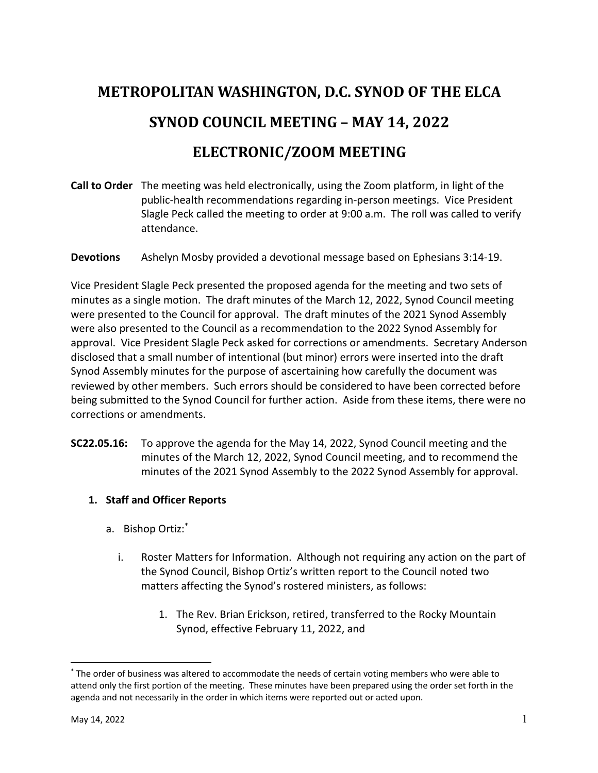# **METROPOLITAN WASHINGTON, D.C. SYNOD OF THE ELCA SYNOD COUNCIL MEETING - MAY 14, 2022**

## **ELECTRONIC/ZOOM MEETING**

- **Call to Order** The meeting was held electronically, using the Zoom platform, in light of the public-health recommendations regarding in-person meetings. Vice President Slagle Peck called the meeting to order at 9:00 a.m. The roll was called to verify attendance.
- **Devotions** Ashelyn Mosby provided a devotional message based on Ephesians 3:14-19.

Vice President Slagle Peck presented the proposed agenda for the meeting and two sets of minutes as a single motion. The draft minutes of the March 12, 2022, Synod Council meeting were presented to the Council for approval. The draft minutes of the 2021 Synod Assembly were also presented to the Council as a recommendation to the 2022 Synod Assembly for approval. Vice President Slagle Peck asked for corrections or amendments. Secretary Anderson disclosed that a small number of intentional (but minor) errors were inserted into the draft Synod Assembly minutes for the purpose of ascertaining how carefully the document was reviewed by other members. Such errors should be considered to have been corrected before being submitted to the Synod Council for further action. Aside from these items, there were no corrections or amendments.

**SC22.05.16:** To approve the agenda for the May 14, 2022, Synod Council meeting and the minutes of the March 12, 2022, Synod Council meeting, and to recommend the minutes of the 2021 Synod Assembly to the 2022 Synod Assembly for approval.

### **1. Staff and Officer Reports**

- a. Bishop Ortiz: \*
	- i. Roster Matters for Information. Although not requiring any action on the part of the Synod Council, Bishop Ortiz's written report to the Council noted two matters affecting the Synod's rostered ministers, as follows:
		- 1. The Rev. Brian Erickson, retired, transferred to the Rocky Mountain Synod, effective February 11, 2022, and

<sup>\*</sup> The order of business was altered to accommodate the needs of certain voting members who were able to attend only the first portion of the meeting. These minutes have been prepared using the order set forth in the agenda and not necessarily in the order in which items were reported out or acted upon.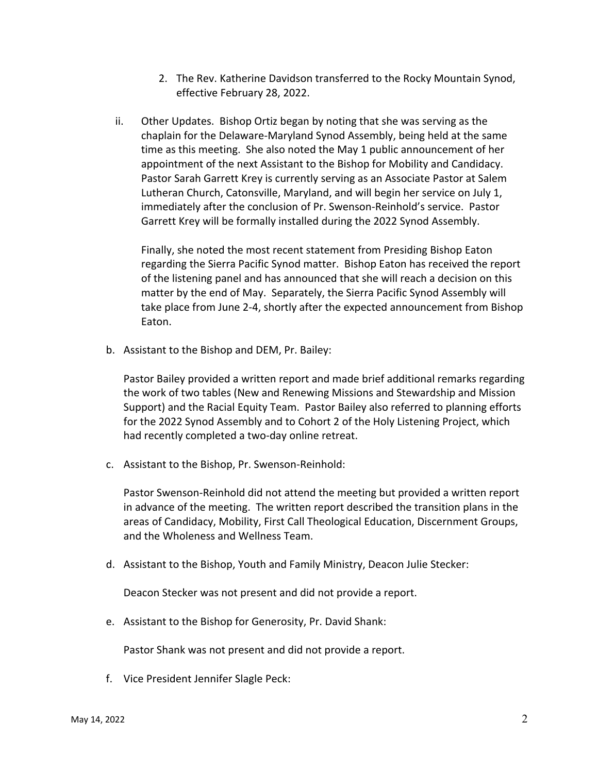- 2. The Rev. Katherine Davidson transferred to the Rocky Mountain Synod, effective February 28, 2022.
- ii. Other Updates. Bishop Ortiz began by noting that she was serving as the chaplain for the Delaware-Maryland Synod Assembly, being held at the same time as this meeting. She also noted the May 1 public announcement of her appointment of the next Assistant to the Bishop for Mobility and Candidacy. Pastor Sarah Garrett Krey is currently serving as an Associate Pastor at Salem Lutheran Church, Catonsville, Maryland, and will begin her service on July 1, immediately after the conclusion of Pr. Swenson-Reinhold's service. Pastor Garrett Krey will be formally installed during the 2022 Synod Assembly.

Finally, she noted the most recent statement from Presiding Bishop Eaton regarding the Sierra Pacific Synod matter. Bishop Eaton has received the report of the listening panel and has announced that she will reach a decision on this matter by the end of May. Separately, the Sierra Pacific Synod Assembly will take place from June 2-4, shortly after the expected announcement from Bishop Eaton.

b. Assistant to the Bishop and DEM, Pr. Bailey:

Pastor Bailey provided a written report and made brief additional remarks regarding the work of two tables (New and Renewing Missions and Stewardship and Mission Support) and the Racial Equity Team. Pastor Bailey also referred to planning efforts for the 2022 Synod Assembly and to Cohort 2 of the Holy Listening Project, which had recently completed a two-day online retreat.

c. Assistant to the Bishop, Pr. Swenson-Reinhold:

Pastor Swenson-Reinhold did not attend the meeting but provided a written report in advance of the meeting. The written report described the transition plans in the areas of Candidacy, Mobility, First Call Theological Education, Discernment Groups, and the Wholeness and Wellness Team.

d. Assistant to the Bishop, Youth and Family Ministry, Deacon Julie Stecker:

Deacon Stecker was not present and did not provide a report.

e. Assistant to the Bishop for Generosity, Pr. David Shank:

Pastor Shank was not present and did not provide a report.

f. Vice President Jennifer Slagle Peck: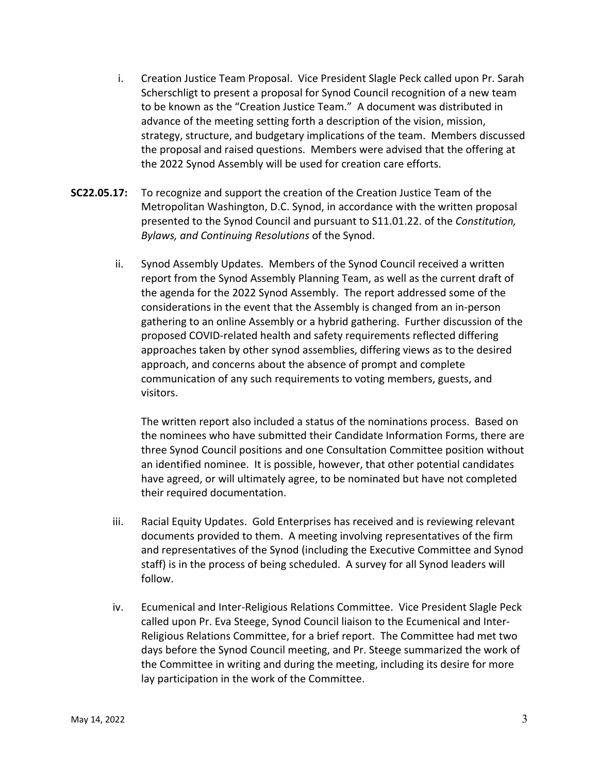- i. Creation Justice Team Proposal. Vice President Slagle Peck called upon Pr. Sarah Scherschligt to present a proposal for Synod Council recognition of a new team to be known as the "Creation Justice Team." A document was distributed in advance of the meeting setting forth a description of the vision, mission, strategy, structure, and budgetary implications of the team. Members discussed the proposal and raised questions. Members were advised that the offering at the 2022 Synod Assembly will be used for creation care efforts.
- **SC22.05.17:** To recognize and support the creation of the Creation Justice Team of the Metropolitan Washington, D.C. Synod, in accordance with the written proposal presented to the Synod Council and pursuant to S11.01.22. of the *Constitution, Bylaws, and Continuing Resolutions* of the Synod.
	- ii. Synod Assembly Updates. Members of the Synod Council received a written report from the Synod Assembly Planning Team, as well as the current draft of the agenda for the 2022 Synod Assembly. The report addressed some of the considerations in the event that the Assembly is changed from an in-person gathering to an online Assembly or a hybrid gathering. Further discussion of the proposed COVID-related health and safety requirements reflected differing approaches taken by other synod assemblies, differing views as to the desired approach, and concerns about the absence of prompt and complete communication of any such requirements to voting members, guests, and visitors.

The written report also included a status of the nominations process. Based on the nominees who have submitted their Candidate Information Forms, there are three Synod Council positions and one Consultation Committee position without an identified nominee. It is possible, however, that other potential candidates have agreed, or will ultimately agree, to be nominated but have not completed their required documentation.

- iii. Racial Equity Updates. Gold Enterprises has received and is reviewing relevant documents provided to them. A meeting involving representatives of the firm and representatives of the Synod (including the Executive Committee and Synod staff) is in the process of being scheduled. A survey for all Synod leaders will follow.
- iv. Ecumenical and Inter-Religious Relations Committee. Vice President Slagle Peck called upon Pr. Eva Steege, Synod Council liaison to the Ecumenical and Inter-Religious Relations Committee, for a brief report. The Committee had met two days before the Synod Council meeting, and Pr. Steege summarized the work of the Committee in writing and during the meeting, including its desire for more lay participation in the work of the Committee.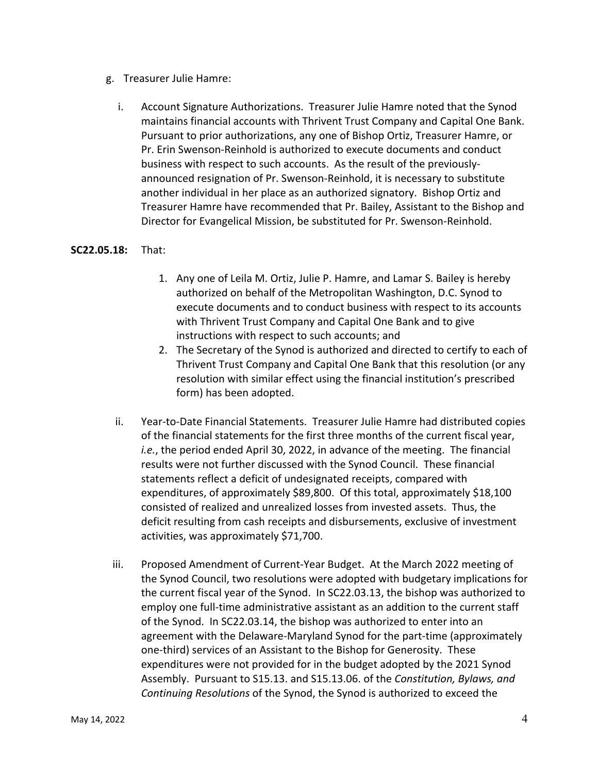- g. Treasurer Julie Hamre:
	- i. Account Signature Authorizations. Treasurer Julie Hamre noted that the Synod maintains financial accounts with Thrivent Trust Company and Capital One Bank. Pursuant to prior authorizations, any one of Bishop Ortiz, Treasurer Hamre, or Pr. Erin Swenson-Reinhold is authorized to execute documents and conduct business with respect to such accounts. As the result of the previouslyannounced resignation of Pr. Swenson-Reinhold, it is necessary to substitute another individual in her place as an authorized signatory. Bishop Ortiz and Treasurer Hamre have recommended that Pr. Bailey, Assistant to the Bishop and Director for Evangelical Mission, be substituted for Pr. Swenson-Reinhold.

#### **SC22.05.18:** That:

- 1. Any one of Leila M. Ortiz, Julie P. Hamre, and Lamar S. Bailey is hereby authorized on behalf of the Metropolitan Washington, D.C. Synod to execute documents and to conduct business with respect to its accounts with Thrivent Trust Company and Capital One Bank and to give instructions with respect to such accounts; and
- 2. The Secretary of the Synod is authorized and directed to certify to each of Thrivent Trust Company and Capital One Bank that this resolution (or any resolution with similar effect using the financial institution's prescribed form) has been adopted.
- ii. Year-to-Date Financial Statements. Treasurer Julie Hamre had distributed copies of the financial statements for the first three months of the current fiscal year, *i.e.*, the period ended April 30, 2022, in advance of the meeting. The financial results were not further discussed with the Synod Council. These financial statements reflect a deficit of undesignated receipts, compared with expenditures, of approximately \$89,800. Of this total, approximately \$18,100 consisted of realized and unrealized losses from invested assets. Thus, the deficit resulting from cash receipts and disbursements, exclusive of investment activities, was approximately \$71,700.
- iii. Proposed Amendment of Current-Year Budget. At the March 2022 meeting of the Synod Council, two resolutions were adopted with budgetary implications for the current fiscal year of the Synod. In SC22.03.13, the bishop was authorized to employ one full-time administrative assistant as an addition to the current staff of the Synod. In SC22.03.14, the bishop was authorized to enter into an agreement with the Delaware-Maryland Synod for the part-time (approximately one-third) services of an Assistant to the Bishop for Generosity. These expenditures were not provided for in the budget adopted by the 2021 Synod Assembly. Pursuant to S15.13. and S15.13.06. of the *Constitution, Bylaws, and Continuing Resolutions* of the Synod, the Synod is authorized to exceed the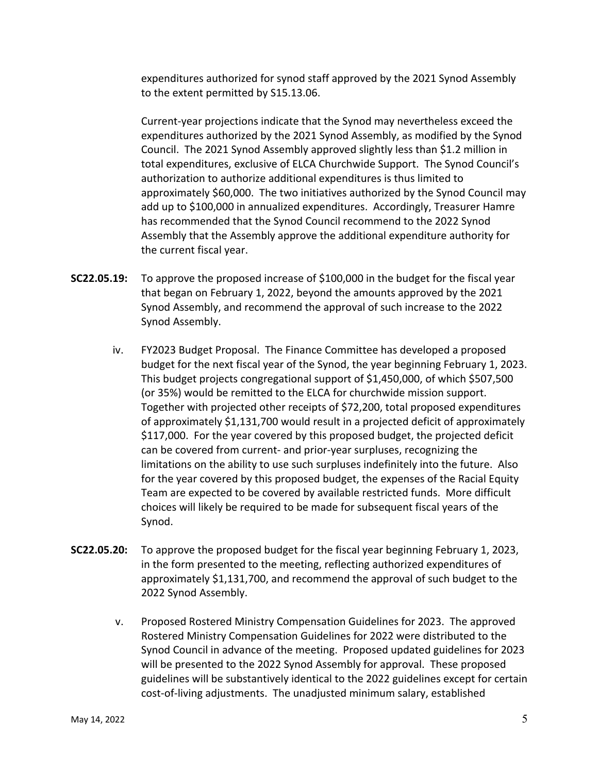expenditures authorized for synod staff approved by the 2021 Synod Assembly to the extent permitted by S15.13.06.

Current-year projections indicate that the Synod may nevertheless exceed the expenditures authorized by the 2021 Synod Assembly, as modified by the Synod Council. The 2021 Synod Assembly approved slightly less than \$1.2 million in total expenditures, exclusive of ELCA Churchwide Support. The Synod Council's authorization to authorize additional expenditures is thus limited to approximately \$60,000. The two initiatives authorized by the Synod Council may add up to \$100,000 in annualized expenditures. Accordingly, Treasurer Hamre has recommended that the Synod Council recommend to the 2022 Synod Assembly that the Assembly approve the additional expenditure authority for the current fiscal year.

- **SC22.05.19:** To approve the proposed increase of \$100,000 in the budget for the fiscal year that began on February 1, 2022, beyond the amounts approved by the 2021 Synod Assembly, and recommend the approval of such increase to the 2022 Synod Assembly.
	- iv. FY2023 Budget Proposal. The Finance Committee has developed a proposed budget for the next fiscal year of the Synod, the year beginning February 1, 2023. This budget projects congregational support of \$1,450,000, of which \$507,500 (or 35%) would be remitted to the ELCA for churchwide mission support. Together with projected other receipts of \$72,200, total proposed expenditures of approximately \$1,131,700 would result in a projected deficit of approximately \$117,000. For the year covered by this proposed budget, the projected deficit can be covered from current- and prior-year surpluses, recognizing the limitations on the ability to use such surpluses indefinitely into the future. Also for the year covered by this proposed budget, the expenses of the Racial Equity Team are expected to be covered by available restricted funds. More difficult choices will likely be required to be made for subsequent fiscal years of the Synod.
- **SC22.05.20:** To approve the proposed budget for the fiscal year beginning February 1, 2023, in the form presented to the meeting, reflecting authorized expenditures of approximately \$1,131,700, and recommend the approval of such budget to the 2022 Synod Assembly.
	- v. Proposed Rostered Ministry Compensation Guidelines for 2023. The approved Rostered Ministry Compensation Guidelines for 2022 were distributed to the Synod Council in advance of the meeting. Proposed updated guidelines for 2023 will be presented to the 2022 Synod Assembly for approval. These proposed guidelines will be substantively identical to the 2022 guidelines except for certain cost-of-living adjustments. The unadjusted minimum salary, established